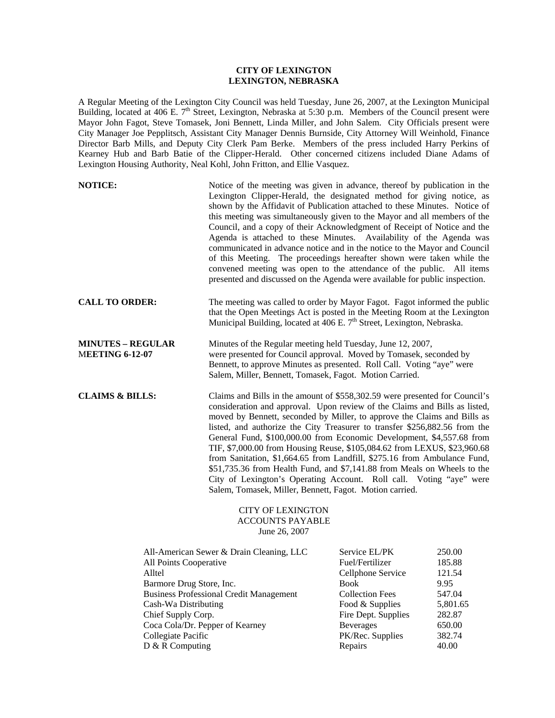## **CITY OF LEXINGTON LEXINGTON, NEBRASKA**

A Regular Meeting of the Lexington City Council was held Tuesday, June 26, 2007, at the Lexington Municipal Building, located at 406 E. 7<sup>th</sup> Street, Lexington, Nebraska at 5:30 p.m. Members of the Council present were Mayor John Fagot, Steve Tomasek, Joni Bennett, Linda Miller, and John Salem. City Officials present were City Manager Joe Pepplitsch, Assistant City Manager Dennis Burnside, City Attorney Will Weinhold, Finance Director Barb Mills, and Deputy City Clerk Pam Berke. Members of the press included Harry Perkins of Kearney Hub and Barb Batie of the Clipper-Herald. Other concerned citizens included Diane Adams of Lexington Housing Authority, Neal Kohl, John Fritton, and Ellie Vasquez.

| <b>NOTICE:</b>                                                                                                                                                                                                                                                                         | Notice of the meeting was given in advance, thereof by publication in the<br>Lexington Clipper-Herald, the designated method for giving notice, as<br>shown by the Affidavit of Publication attached to these Minutes. Notice of<br>this meeting was simultaneously given to the Mayor and all members of the<br>Council, and a copy of their Acknowledgment of Receipt of Notice and the<br>Agenda is attached to these Minutes. Availability of the Agenda was<br>communicated in advance notice and in the notice to the Mayor and Council<br>of this Meeting. The proceedings hereafter shown were taken while the<br>convened meeting was open to the attendance of the public. All items<br>presented and discussed on the Agenda were available for public inspection. |                                                                                                                                                                                             |                                                                                                 |
|----------------------------------------------------------------------------------------------------------------------------------------------------------------------------------------------------------------------------------------------------------------------------------------|-------------------------------------------------------------------------------------------------------------------------------------------------------------------------------------------------------------------------------------------------------------------------------------------------------------------------------------------------------------------------------------------------------------------------------------------------------------------------------------------------------------------------------------------------------------------------------------------------------------------------------------------------------------------------------------------------------------------------------------------------------------------------------|---------------------------------------------------------------------------------------------------------------------------------------------------------------------------------------------|-------------------------------------------------------------------------------------------------|
| <b>CALL TO ORDER:</b>                                                                                                                                                                                                                                                                  | The meeting was called to order by Mayor Fagot. Fagot informed the public<br>that the Open Meetings Act is posted in the Meeting Room at the Lexington<br>Municipal Building, located at 406 E. 7 <sup>th</sup> Street, Lexington, Nebraska.                                                                                                                                                                                                                                                                                                                                                                                                                                                                                                                                  |                                                                                                                                                                                             |                                                                                                 |
| <b>MINUTES – REGULAR</b><br><b>MEETING 6-12-07</b>                                                                                                                                                                                                                                     | Minutes of the Regular meeting held Tuesday, June 12, 2007,<br>were presented for Council approval. Moved by Tomasek, seconded by<br>Bennett, to approve Minutes as presented. Roll Call. Voting "aye" were<br>Salem, Miller, Bennett, Tomasek, Fagot. Motion Carried.                                                                                                                                                                                                                                                                                                                                                                                                                                                                                                        |                                                                                                                                                                                             |                                                                                                 |
| <b>CLAIMS &amp; BILLS:</b>                                                                                                                                                                                                                                                             | Claims and Bills in the amount of \$558,302.59 were presented for Council's<br>consideration and approval. Upon review of the Claims and Bills as listed,<br>moved by Bennett, seconded by Miller, to approve the Claims and Bills as<br>listed, and authorize the City Treasurer to transfer \$256,882.56 from the<br>General Fund, \$100,000.00 from Economic Development, \$4,557.68 from<br>TIF, \$7,000.00 from Housing Reuse, \$105,084.62 from LEXUS, \$23,960.68<br>from Sanitation, \$1,664.65 from Landfill, \$275.16 from Ambulance Fund,<br>\$51,735.36 from Health Fund, and \$7,141.88 from Meals on Wheels to the<br>City of Lexington's Operating Account. Roll call. Voting "aye" were<br>Salem, Tomasek, Miller, Bennett, Fagot. Motion carried.            |                                                                                                                                                                                             |                                                                                                 |
|                                                                                                                                                                                                                                                                                        | <b>CITY OF LEXINGTON</b><br><b>ACCOUNTS PAYABLE</b><br>June 26, 2007                                                                                                                                                                                                                                                                                                                                                                                                                                                                                                                                                                                                                                                                                                          |                                                                                                                                                                                             |                                                                                                 |
| All-American Sewer & Drain Cleaning, LLC<br>All Points Cooperative<br>Alltel<br>Barmore Drug Store, Inc.<br><b>Business Professional Credit Management</b><br>Cash-Wa Distributing<br>Chief Supply Corp.<br>Coca Cola/Dr. Pepper of Kearney<br>Collegiate Pacific<br>$D & R$ Computing |                                                                                                                                                                                                                                                                                                                                                                                                                                                                                                                                                                                                                                                                                                                                                                               | Service EL/PK<br>Fuel/Fertilizer<br>Cellphone Service<br><b>Book</b><br><b>Collection Fees</b><br>Food & Supplies<br>Fire Dept. Supplies<br><b>Beverages</b><br>PK/Rec. Supplies<br>Repairs | 250.00<br>185.88<br>121.54<br>9.95<br>547.04<br>5,801.65<br>282.87<br>650.00<br>382.74<br>40.00 |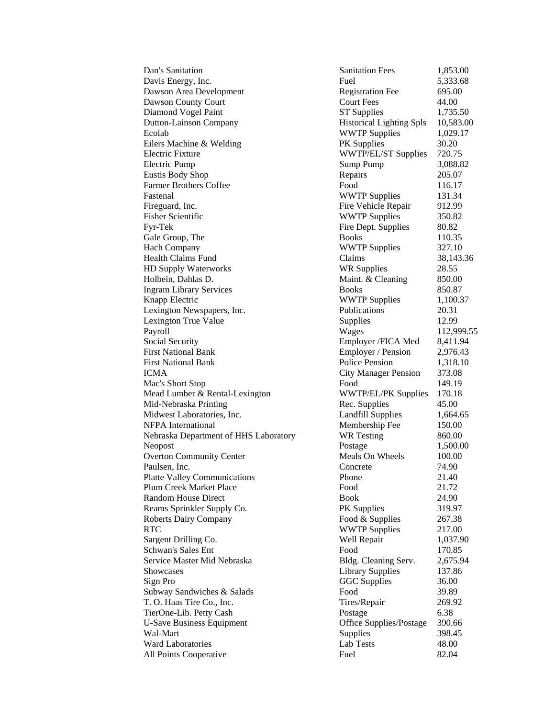Davis Energy, Inc. **Fuel** 5,333.68 Dawson Area Development Registration Fee 695.00 Dawson County Court **Countillation** Court Fees 44.00 Diamond Vogel Paint **ST Supplies** 1,735.50 Dutton-Lainson Company Historical Lighting Spls 10,583.00 Ecolab WWTP Supplies 1,029.17 Eilers Machine & Welding PK Supplies 30.20 Electric Fixture WWTP/EL/ST Supplies 720.75 Electric Pump 3,088.82 Eustis Body Shop Repairs 205.07 Farmer Brothers Coffee Food Food 116.17 Fastenal WWTP Supplies 131.34 Fireguard, Inc. **Fire Vehicle Repair** 912.99 Fisher Scientific **Example 350.82** WWTP Supplies 350.82 Fyr-Tek Fire Dept. Supplies 80.82 Gale Group, The Books 110.35 Hach Company **WWTP Supplies** 327.10 Health Claims Fund Claims **38,143.36** HD Supply Waterworks WR Supplies 28.55 Holbein, Dahlas D. Maint. & Cleaning 850.00 Ingram Library Services Books Books 850.87 Knapp Electric **WWTP** Supplies 1,100.37 Lexington Newspapers, Inc. Publications 20.31 Lexington True Value **Supplies** 12.99 Payroll Wages 112,999.55 Social Security **Employer /FICA Med** 8,411.94 First National Bank **Employer / Pension** 2,976.43 First National Bank **Police Pension** 1,318.10 ICMA City Manager Pension 373.08 Mac's Short Stop **Food** 149.19 Mead Lumber & Rental-Lexington WWTP/EL/PK Supplies 170.18 Mid-Nebraska Printing and Rec. Supplies 45.00 Midwest Laboratories, Inc. Landfill Supplies 1,664.65 NFPA International Membership Fee 150.00 Nebraska Department of HHS Laboratory WR Testing 860.00 Neopost Postage 1,500.00 Overton Community Center Meals On Wheels 100.00 Paulsen, Inc. Concrete 74.90 Platte Valley Communications Phone 21.40 Plum Creek Market Place Food Food 21.72 Random House Direct Book 24.90 Reams Sprinkler Supply Co. PK Supplies 319.97 Roberts Dairy Company **Food & Supplies** 267.38 RTC WWTP Supplies 217.00 Sargent Drilling Co. 6. Well Repair 1,037.90 Schwan's Sales Ent Food Food 170.85 Service Master Mid Nebraska<br>
Bldg. Cleaning Serv. 2,675.94 Showcases Library Supplies 137.86 Sign Pro GGC Supplies 36.00 Subway Sandwiches & Salads Food 39.89 T. O. Haas Tire Co., Inc. Tires/Repair 269.92 TierOne-Lib. Petty Cash Postage 6.38 U-Save Business Equipment Office Supplies/Postage 390.66 Wal-Mart Supplies 398.45 Ward Laboratories Lab Tests 48.00 All Points Cooperative Fuel Fuel 82.04

Dan's Sanitation Sanitation Fees 1,853.00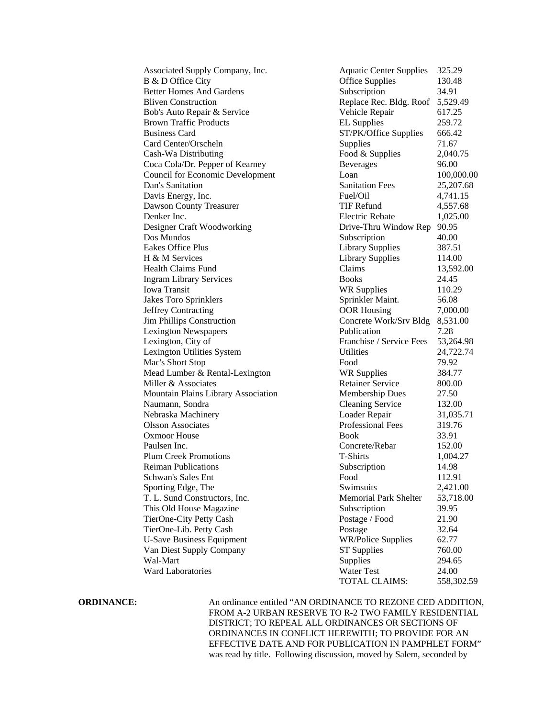| Associated Supply Company, Inc.         | <b>Aquatic Center Supplies</b>  | 325.29     |
|-----------------------------------------|---------------------------------|------------|
| B & D Office City                       | <b>Office Supplies</b>          | 130.48     |
| <b>Better Homes And Gardens</b>         | Subscription                    | 34.91      |
| <b>Bliven Construction</b>              | Replace Rec. Bldg. Roof         | 5,529.49   |
| Bob's Auto Repair & Service             | Vehicle Repair                  | 617.25     |
| <b>Brown Traffic Products</b>           | <b>EL</b> Supplies              | 259.72     |
| <b>Business Card</b>                    | ST/PK/Office Supplies           | 666.42     |
| Card Center/Orscheln                    | Supplies                        | 71.67      |
| Cash-Wa Distributing                    | Food & Supplies                 | 2,040.75   |
| Coca Cola/Dr. Pepper of Kearney         | <b>Beverages</b>                | 96.00      |
| <b>Council for Economic Development</b> | Loan                            | 100,000.00 |
| Dan's Sanitation                        | <b>Sanitation Fees</b>          | 25,207.68  |
| Davis Energy, Inc.                      | Fuel/Oil                        | 4,741.15   |
| <b>Dawson County Treasurer</b>          | <b>TIF Refund</b>               | 4,557.68   |
| Denker Inc.                             | Electric Rebate                 | 1,025.00   |
| Designer Craft Woodworking              | Drive-Thru Window Rep           | 90.95      |
| Dos Mundos                              | Subscription                    | 40.00      |
| <b>Eakes Office Plus</b>                | <b>Library Supplies</b>         | 387.51     |
| H & M Services                          | <b>Library Supplies</b>         | 114.00     |
| Health Claims Fund                      | Claims                          | 13,592.00  |
| <b>Ingram Library Services</b>          | <b>Books</b>                    | 24.45      |
| Iowa Transit                            | <b>WR Supplies</b>              | 110.29     |
| <b>Jakes Toro Sprinklers</b>            | Sprinkler Maint.                | 56.08      |
| <b>Jeffrey Contracting</b>              | <b>OOR Housing</b>              | 7,000.00   |
| <b>Jim Phillips Construction</b>        | Concrete Work/Srv Bldg 8,531.00 |            |
| <b>Lexington Newspapers</b>             | Publication                     | 7.28       |
| Lexington, City of                      | Franchise / Service Fees        | 53,264.98  |
| Lexington Utilities System              | <b>Utilities</b>                | 24,722.74  |
| Mac's Short Stop                        | Food                            | 79.92      |
| Mead Lumber & Rental-Lexington          | <b>WR Supplies</b>              | 384.77     |
| Miller & Associates                     | <b>Retainer Service</b>         | 800.00     |
| Mountain Plains Library Association     | <b>Membership Dues</b>          | 27.50      |
| Naumann, Sondra                         | <b>Cleaning Service</b>         | 132.00     |
| Nebraska Machinery                      | Loader Repair                   | 31,035.71  |
| <b>Olsson Associates</b>                | Professional Fees               | 319.76     |
| <b>Oxmoor House</b>                     | <b>Book</b>                     | 33.91      |
| Paulsen Inc.                            | Concrete/Rebar                  | 152.00     |
| <b>Plum Creek Promotions</b>            | <b>T-Shirts</b>                 | 1,004.27   |
| <b>Reiman Publications</b>              | Subscription                    | 14.98      |
| Schwan's Sales Ent                      | Food                            | 112.91     |
| Sporting Edge, The                      | Swimsuits                       | 2,421.00   |
| T. L. Sund Constructors, Inc.           | <b>Memorial Park Shelter</b>    | 53,718.00  |
| This Old House Magazine                 | Subscription                    | 39.95      |
| TierOne-City Petty Cash                 | Postage / Food                  | 21.90      |
| TierOne-Lib. Petty Cash                 | Postage                         | 32.64      |
|                                         | <b>WR/Police Supplies</b>       | 62.77      |
| <b>U-Save Business Equipment</b>        |                                 |            |
| Van Diest Supply Company                | <b>ST Supplies</b>              | 760.00     |
| Wal-Mart<br><b>Ward Laboratories</b>    | Supplies                        | 294.65     |
|                                         | Water Test                      | 24.00      |
|                                         | TOTAL CLAIMS:                   | 558,302.59 |

**ORDINANCE:** An ordinance entitled "AN ORDINANCE TO REZONE CED ADDITION, FROM A-2 URBAN RESERVE TO R-2 TWO FAMILY RESIDENTIAL DISTRICT; TO REPEAL ALL ORDINANCES OR SECTIONS OF ORDINANCES IN CONFLICT HEREWITH; TO PROVIDE FOR AN EFFECTIVE DATE AND FOR PUBLICATION IN PAMPHLET FORM" was read by title. Following discussion, moved by Salem, seconded by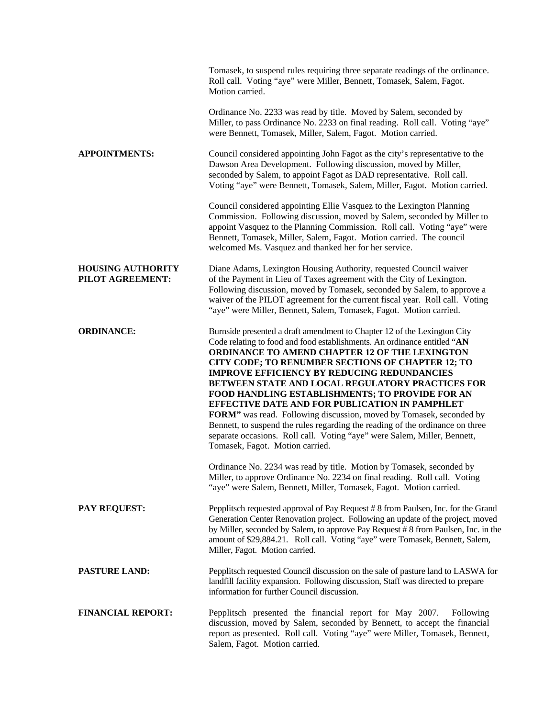|                                              | Tomasek, to suspend rules requiring three separate readings of the ordinance.<br>Roll call. Voting "aye" were Miller, Bennett, Tomasek, Salem, Fagot.<br>Motion carried.                                                                                                                                                                                                                                                                                                                                                                                                                                                                                                                                                                          |
|----------------------------------------------|---------------------------------------------------------------------------------------------------------------------------------------------------------------------------------------------------------------------------------------------------------------------------------------------------------------------------------------------------------------------------------------------------------------------------------------------------------------------------------------------------------------------------------------------------------------------------------------------------------------------------------------------------------------------------------------------------------------------------------------------------|
|                                              | Ordinance No. 2233 was read by title. Moved by Salem, seconded by<br>Miller, to pass Ordinance No. 2233 on final reading. Roll call. Voting "aye"<br>were Bennett, Tomasek, Miller, Salem, Fagot. Motion carried.                                                                                                                                                                                                                                                                                                                                                                                                                                                                                                                                 |
| <b>APPOINTMENTS:</b>                         | Council considered appointing John Fagot as the city's representative to the<br>Dawson Area Development. Following discussion, moved by Miller,<br>seconded by Salem, to appoint Fagot as DAD representative. Roll call.<br>Voting "aye" were Bennett, Tomasek, Salem, Miller, Fagot. Motion carried.                                                                                                                                                                                                                                                                                                                                                                                                                                             |
|                                              | Council considered appointing Ellie Vasquez to the Lexington Planning<br>Commission. Following discussion, moved by Salem, seconded by Miller to<br>appoint Vasquez to the Planning Commission. Roll call. Voting "aye" were<br>Bennett, Tomasek, Miller, Salem, Fagot. Motion carried. The council<br>welcomed Ms. Vasquez and thanked her for her service.                                                                                                                                                                                                                                                                                                                                                                                      |
| <b>HOUSING AUTHORITY</b><br>PILOT AGREEMENT: | Diane Adams, Lexington Housing Authority, requested Council waiver<br>of the Payment in Lieu of Taxes agreement with the City of Lexington.<br>Following discussion, moved by Tomasek, seconded by Salem, to approve a<br>waiver of the PILOT agreement for the current fiscal year. Roll call. Voting<br>"aye" were Miller, Bennett, Salem, Tomasek, Fagot. Motion carried.                                                                                                                                                                                                                                                                                                                                                                      |
| <b>ORDINANCE:</b>                            | Burnside presented a draft amendment to Chapter 12 of the Lexington City<br>Code relating to food and food establishments. An ordinance entitled "AN<br>ORDINANCE TO AMEND CHAPTER 12 OF THE LEXINGTON<br>CITY CODE; TO RENUMBER SECTIONS OF CHAPTER 12; TO<br><b>IMPROVE EFFICIENCY BY REDUCING REDUNDANCIES</b><br>BETWEEN STATE AND LOCAL REGULATORY PRACTICES FOR<br>FOOD HANDLING ESTABLISHMENTS; TO PROVIDE FOR AN<br>EFFECTIVE DATE AND FOR PUBLICATION IN PAMPHLET<br>FORM" was read. Following discussion, moved by Tomasek, seconded by<br>Bennett, to suspend the rules regarding the reading of the ordinance on three<br>separate occasions. Roll call. Voting "aye" were Salem, Miller, Bennett,<br>Tomasek, Fagot. Motion carried. |
|                                              | Ordinance No. 2234 was read by title. Motion by Tomasek, seconded by<br>Miller, to approve Ordinance No. 2234 on final reading. Roll call. Voting<br>"aye" were Salem, Bennett, Miller, Tomasek, Fagot. Motion carried.                                                                                                                                                                                                                                                                                                                                                                                                                                                                                                                           |
| <b>PAY REQUEST:</b>                          | Pepplitsch requested approval of Pay Request #8 from Paulsen, Inc. for the Grand<br>Generation Center Renovation project. Following an update of the project, moved<br>by Miller, seconded by Salem, to approve Pay Request # 8 from Paulsen, Inc. in the<br>amount of \$29,884.21. Roll call. Voting "aye" were Tomasek, Bennett, Salem,<br>Miller, Fagot. Motion carried.                                                                                                                                                                                                                                                                                                                                                                       |
| <b>PASTURE LAND:</b>                         | Pepplitsch requested Council discussion on the sale of pasture land to LASWA for<br>landfill facility expansion. Following discussion, Staff was directed to prepare<br>information for further Council discussion.                                                                                                                                                                                                                                                                                                                                                                                                                                                                                                                               |
| <b>FINANCIAL REPORT:</b>                     | Pepplitsch presented the financial report for May 2007.<br>Following<br>discussion, moved by Salem, seconded by Bennett, to accept the financial<br>report as presented. Roll call. Voting "aye" were Miller, Tomasek, Bennett,<br>Salem, Fagot. Motion carried.                                                                                                                                                                                                                                                                                                                                                                                                                                                                                  |